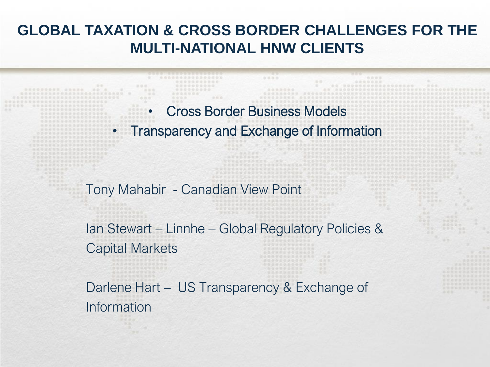#### GLOBAL TAXATION & CROSS BORDER CHALLENGES FOR THE MULTI-NATIONAL HNW CLIENTS

• Cross Border Business Models • Transparency and Exchange of Information

Tony Mahabir - Canadian View Point

Ian Stewart – Linnhe – Global Regulatory Policies & Capital Markets

Darlene Hart – US Transparency & Exchange of Information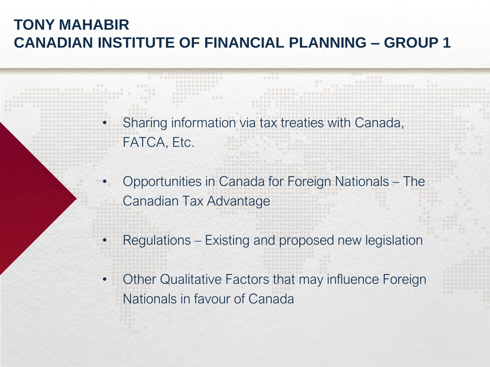## TONY MAHABIR CANADIAN INSTITUTE OF FINANCIAL PLANNING – GROUP 1

- Sharing information via tax treaties with Canada, FATCA, Etc.
- Opportunities in Canada for Foreign Nationals The Canadian Tax Advantage
- Regulations Existing and proposed new legislation
- Other Qualitative Factors that may influence Foreign Nationals in favour of Canada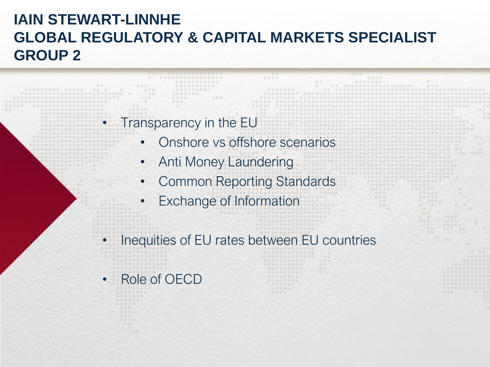## IAIN STEWART-LINNHE GLOBAL REGULATORY & CAPITAL MARKETS SPECIALIST GROUP 2

#### • Transparency in the EU

- Onshore vs offshore scenarios
- Anti Money Laundering
- Common Reporting Standards
- Exchange of Information
- Inequities of EU rates between EU countries
- Role of OECD